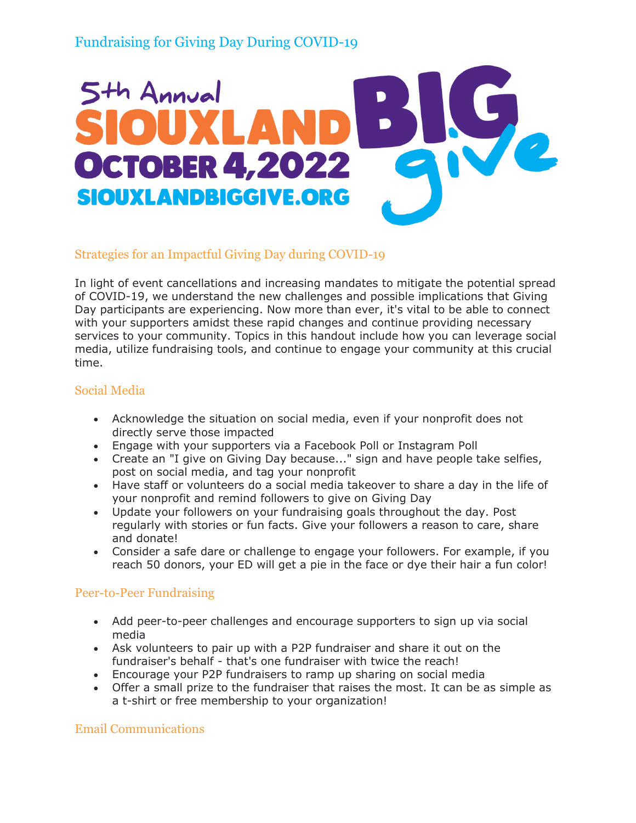

# Strategies for an Impactful Giving Day during COVID-19

In light of event cancellations and increasing mandates to mitigate the potential spread of COVID-19, we understand the new challenges and possible implications that Giving Day participants are experiencing. Now more than ever, it's vital to be able to connect with your supporters amidst these rapid changes and continue providing necessary services to your community. Topics in this handout include how you can leverage social media, utilize fundraising tools, and continue to engage your community at this crucial time.

#### Social Media

- Acknowledge the situation on social media, even if your nonprofit does not directly serve those impacted
- Engage with your supporters via a Facebook Poll or Instagram Poll
- Create an "I give on Giving Day because..." sign and have people take selfies, post on social media, and tag your nonprofit
- Have staff or volunteers do a social media takeover to share a day in the life of your nonprofit and remind followers to give on Giving Day
- Update your followers on your fundraising goals throughout the day. Post regularly with stories or fun facts. Give your followers a reason to care, share and donate!
- Consider a safe dare or challenge to engage your followers. For example, if you reach 50 donors, your ED will get a pie in the face or dye their hair a fun color!

#### Peer-to-Peer Fundraising

- Add peer-to-peer challenges and encourage supporters to sign up via social media
- Ask volunteers to pair up with a P2P fundraiser and share it out on the fundraiser's behalf - that's one fundraiser with twice the reach!
- Encourage your P2P fundraisers to ramp up sharing on social media
- Offer a small prize to the fundraiser that raises the most. It can be as simple as a t-shirt or free membership to your organization!

## Email Communications